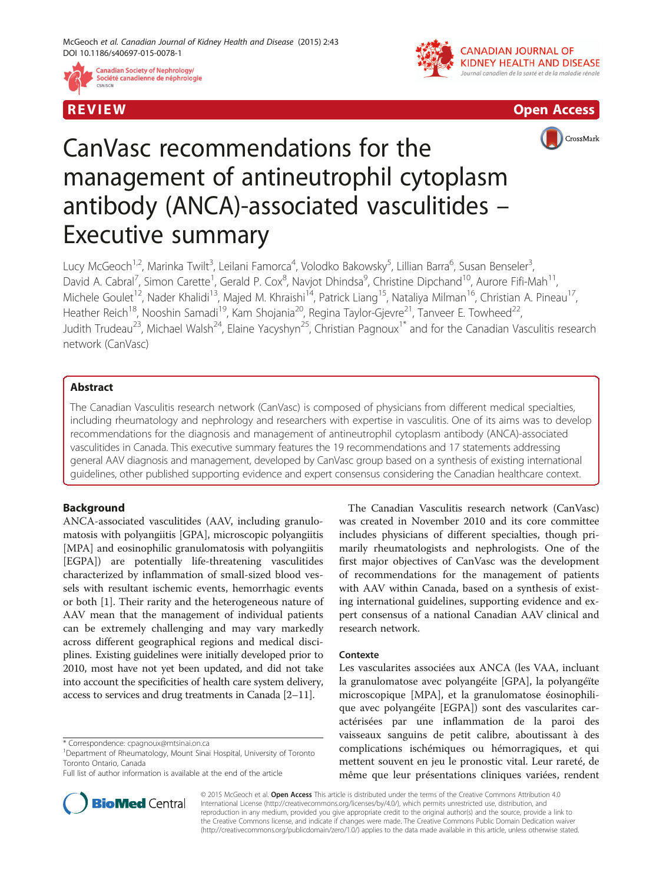

R EVI EW Open Access





# CanVasc recommendations for the management of antineutrophil cytoplasm antibody (ANCA)-associated vasculitides – Executive summary

Lucy McGeoch<sup>1,2</sup>, Marinka Twilt<sup>3</sup>, Leilani Famorca<sup>4</sup>, Volodko Bakowsky<sup>5</sup>, Lillian Barra<sup>6</sup>, Susan Benseler<sup>3</sup> , David A. Cabral<sup>7</sup>, Simon Carette<sup>1</sup>, Gerald P. Cox<sup>8</sup>, Navjot Dhindsa<sup>9</sup>, Christine Dipchand<sup>10</sup>, Aurore Fifi-Mah<sup>11</sup>, Michele Goulet<sup>12</sup>, Nader Khalidi<sup>13</sup>, Majed M. Khraishi<sup>14</sup>, Patrick Liang<sup>15</sup>, Nataliya Milman<sup>16</sup>, Christian A. Pineau<sup>17</sup>, Heather Reich<sup>18</sup>, Nooshin Samadi<sup>19</sup>, Kam Shojania<sup>20</sup>, Regina Taylor-Gjevre<sup>21</sup>, Tanveer E. Towheed<sup>22</sup>, Judith Trudeau23, Michael Walsh24, Elaine Yacyshyn25, Christian Pagnoux1\* and for the Canadian Vasculitis research network (CanVasc)

## Abstract

The Canadian Vasculitis research network (CanVasc) is composed of physicians from different medical specialties, including rheumatology and nephrology and researchers with expertise in vasculitis. One of its aims was to develop recommendations for the diagnosis and management of antineutrophil cytoplasm antibody (ANCA)-associated vasculitides in Canada. This executive summary features the 19 recommendations and 17 statements addressing general AAV diagnosis and management, developed by CanVasc group based on a synthesis of existing international guidelines, other published supporting evidence and expert consensus considering the Canadian healthcare context.

# Background

ANCA-associated vasculitides (AAV, including granulomatosis with polyangiitis [GPA], microscopic polyangiitis [MPA] and eosinophilic granulomatosis with polyangiitis [EGPA]) are potentially life-threatening vasculitides characterized by inflammation of small-sized blood vessels with resultant ischemic events, hemorrhagic events or both [\[1](#page-5-0)]. Their rarity and the heterogeneous nature of AAV mean that the management of individual patients can be extremely challenging and may vary markedly across different geographical regions and medical disciplines. Existing guidelines were initially developed prior to 2010, most have not yet been updated, and did not take into account the specificities of health care system delivery, access to services and drug treatments in Canada [\[2](#page-5-0)–[11\]](#page-5-0).

\* Correspondence: [cpagnoux@mtsinai.on.ca](mailto:cpagnoux@mtsinai.on.ca) <sup>1</sup>



## Contexte

Les vascularites associées aux ANCA (les VAA, incluant la granulomatose avec polyangéite [GPA], la polyangéïte microscopique [MPA], et la granulomatose éosinophilique avec polyangéite [EGPA]) sont des vascularites caractérisées par une inflammation de la paroi des vaisseaux sanguins de petit calibre, aboutissant à des complications ischémiques ou hémorragiques, et qui mettent souvent en jeu le pronostic vital. Leur rareté, de même que leur présentations cliniques variées, rendent



© 2015 McGeoch et al. Open Access This article is distributed under the terms of the Creative Commons Attribution 4.0 International License [\(http://creativecommons.org/licenses/by/4.0/](http://creativecommons.org/licenses/by/4.0/)), which permits unrestricted use, distribution, and reproduction in any medium, provided you give appropriate credit to the original author(s) and the source, provide a link to the Creative Commons license, and indicate if changes were made. The Creative Commons Public Domain Dedication waiver [\(http://creativecommons.org/publicdomain/zero/1.0/](http://creativecommons.org/publicdomain/zero/1.0/)) applies to the data made available in this article, unless otherwise stated.

<sup>&</sup>lt;sup>1</sup> Department of Rheumatology, Mount Sinai Hospital, University of Toronto Toronto Ontario, Canada

Full list of author information is available at the end of the article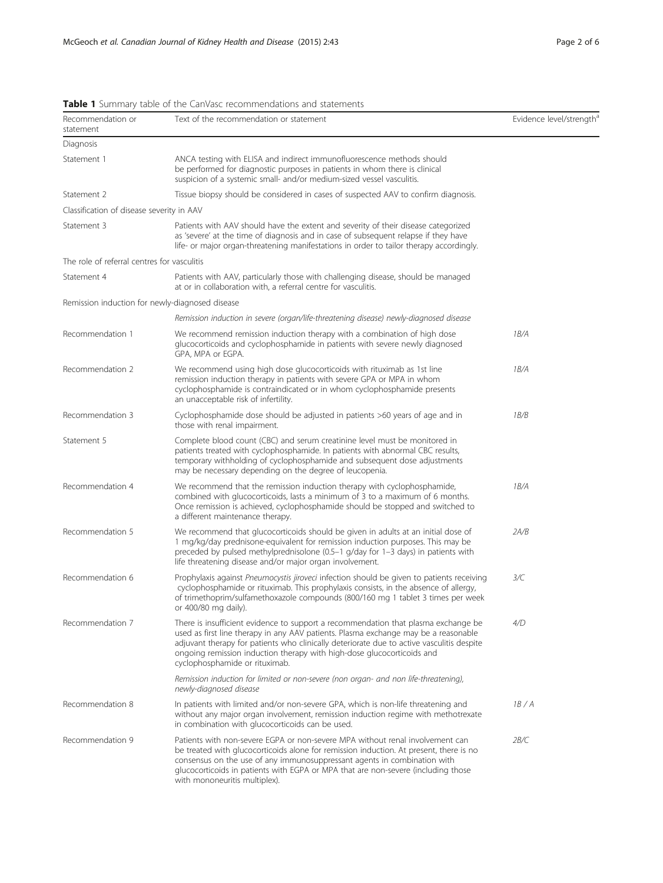| Page 2 of 6 |  |  |
|-------------|--|--|
|             |  |  |

| Recommendation or<br>statement                  | Text of the recommendation or statement                                                                                                                                                                                                                                                                                                                                            | Evidence level/strength <sup>ª</sup> |
|-------------------------------------------------|------------------------------------------------------------------------------------------------------------------------------------------------------------------------------------------------------------------------------------------------------------------------------------------------------------------------------------------------------------------------------------|--------------------------------------|
| Diagnosis                                       |                                                                                                                                                                                                                                                                                                                                                                                    |                                      |
| Statement 1                                     | ANCA testing with ELISA and indirect immunofluorescence methods should<br>be performed for diagnostic purposes in patients in whom there is clinical<br>suspicion of a systemic small- and/or medium-sized vessel vasculitis.                                                                                                                                                      |                                      |
| Statement 2                                     | Tissue biopsy should be considered in cases of suspected AAV to confirm diagnosis.                                                                                                                                                                                                                                                                                                 |                                      |
| Classification of disease severity in AAV       |                                                                                                                                                                                                                                                                                                                                                                                    |                                      |
| Statement 3                                     | Patients with AAV should have the extent and severity of their disease categorized<br>as 'severe' at the time of diagnosis and in case of subsequent relapse if they have<br>life- or major organ-threatening manifestations in order to tailor therapy accordingly.                                                                                                               |                                      |
| The role of referral centres for vasculitis     |                                                                                                                                                                                                                                                                                                                                                                                    |                                      |
| Statement 4                                     | Patients with AAV, particularly those with challenging disease, should be managed<br>at or in collaboration with, a referral centre for vasculitis.                                                                                                                                                                                                                                |                                      |
| Remission induction for newly-diagnosed disease |                                                                                                                                                                                                                                                                                                                                                                                    |                                      |
|                                                 | Remission induction in severe (organ/life-threatening disease) newly-diagnosed disease                                                                                                                                                                                                                                                                                             |                                      |
| Recommendation 1                                | We recommend remission induction therapy with a combination of high dose<br>glucocorticoids and cyclophosphamide in patients with severe newly diagnosed<br>GPA, MPA or EGPA.                                                                                                                                                                                                      | 1 B/A                                |
| Recommendation 2                                | We recommend using high dose glucocorticoids with rituximab as 1st line<br>remission induction therapy in patients with severe GPA or MPA in whom<br>cyclophosphamide is contraindicated or in whom cyclophosphamide presents<br>an unacceptable risk of infertility.                                                                                                              | 1 B/A                                |
| Recommendation 3                                | Cyclophosphamide dose should be adjusted in patients >60 years of age and in<br>those with renal impairment.                                                                                                                                                                                                                                                                       | 1B/B                                 |
| Statement 5                                     | Complete blood count (CBC) and serum creatinine level must be monitored in<br>patients treated with cyclophosphamide. In patients with abnormal CBC results,<br>temporary withholding of cyclophosphamide and subsequent dose adjustments<br>may be necessary depending on the degree of leucopenia.                                                                               |                                      |
| Recommendation 4                                | We recommend that the remission induction therapy with cyclophosphamide,<br>combined with glucocorticoids, lasts a minimum of 3 to a maximum of 6 months.<br>Once remission is achieved, cyclophosphamide should be stopped and switched to<br>a different maintenance therapy.                                                                                                    | 1 B/A                                |
| Recommendation 5                                | We recommend that glucocorticoids should be given in adults at an initial dose of<br>1 mg/kg/day prednisone-equivalent for remission induction purposes. This may be<br>preceded by pulsed methylprednisolone (0.5–1 g/day for 1–3 days) in patients with<br>life threatening disease and/or major organ involvement.                                                              | 2A/B                                 |
| Recommendation 6                                | Prophylaxis against Pneumocystis jiroveci infection should be given to patients receiving<br>cyclophosphamide or rituximab. This prophylaxis consists, in the absence of allergy,<br>of trimethoprim/sulfamethoxazole compounds (800/160 mg 1 tablet 3 times per week<br>or 400/80 mg daily).                                                                                      | 3/C                                  |
| Recommendation 7                                | There is insufficient evidence to support a recommendation that plasma exchange be<br>used as first line therapy in any AAV patients. Plasma exchange may be a reasonable<br>adjuvant therapy for patients who clinically deteriorate due to active vasculitis despite<br>ongoing remission induction therapy with high-dose glucocorticoids and<br>cyclophosphamide or rituximab. | 4/D                                  |
|                                                 | Remission induction for limited or non-severe (non organ- and non life-threatening),<br>newly-diagnosed disease                                                                                                                                                                                                                                                                    |                                      |
| Recommendation 8                                | In patients with limited and/or non-severe GPA, which is non-life threatening and<br>without any major organ involvement, remission induction regime with methotrexate<br>in combination with glucocorticoids can be used.                                                                                                                                                         | 1B/A                                 |
| Recommendation 9                                | Patients with non-severe EGPA or non-severe MPA without renal involvement can<br>be treated with glucocorticoids alone for remission induction. At present, there is no<br>consensus on the use of any immunosuppressant agents in combination with<br>glucocorticoids in patients with EGPA or MPA that are non-severe (including those<br>with mononeuritis multiplex).          | 2B/C                                 |

<span id="page-1-0"></span>Table 1 Summary table of the CanVasc recommendations and statements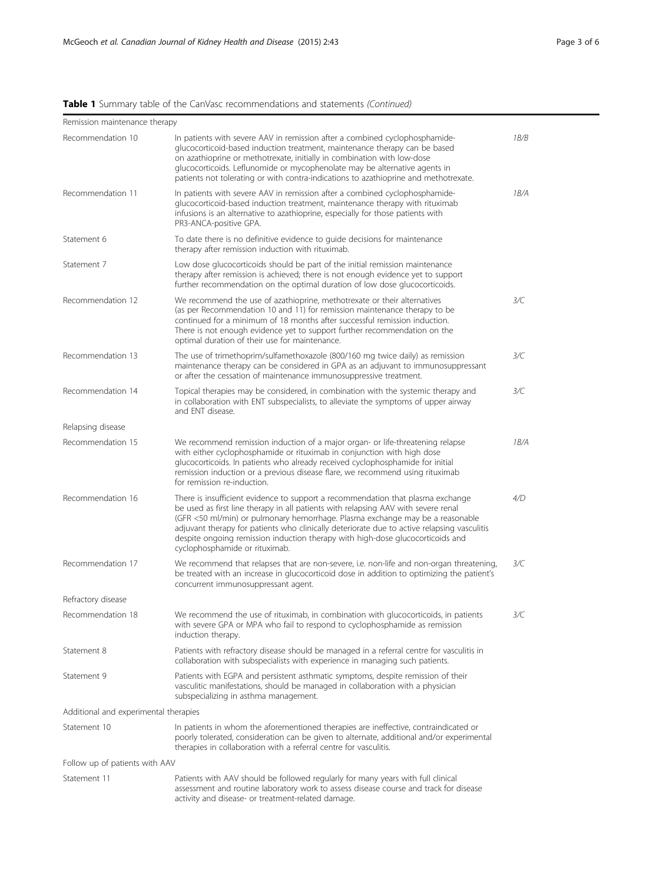# Table 1 Summary table of the CanVasc recommendations and statements (Continued)

| Remission maintenance therapy         |                                                                                                                                                                                                                                                                                                                                                                                                                                                                           |       |
|---------------------------------------|---------------------------------------------------------------------------------------------------------------------------------------------------------------------------------------------------------------------------------------------------------------------------------------------------------------------------------------------------------------------------------------------------------------------------------------------------------------------------|-------|
| Recommendation 10                     | In patients with severe AAV in remission after a combined cyclophosphamide-<br>glucocorticoid-based induction treatment, maintenance therapy can be based<br>on azathioprine or methotrexate, initially in combination with low-dose<br>glucocorticoids. Leflunomide or mycophenolate may be alternative agents in<br>patients not tolerating or with contra-indications to azathioprine and methotrexate.                                                                | 1B/B  |
| Recommendation 11                     | In patients with severe AAV in remission after a combined cyclophosphamide-<br>glucocorticoid-based induction treatment, maintenance therapy with rituximab<br>infusions is an alternative to azathioprine, especially for those patients with<br>PR3-ANCA-positive GPA.                                                                                                                                                                                                  | 1B/A  |
| Statement 6                           | To date there is no definitive evidence to guide decisions for maintenance<br>therapy after remission induction with rituximab.                                                                                                                                                                                                                                                                                                                                           |       |
| Statement 7                           | Low dose glucocorticoids should be part of the initial remission maintenance<br>therapy after remission is achieved; there is not enough evidence yet to support<br>further recommendation on the optimal duration of low dose glucocorticoids.                                                                                                                                                                                                                           |       |
| Recommendation 12                     | We recommend the use of azathioprine, methotrexate or their alternatives<br>(as per Recommendation 10 and 11) for remission maintenance therapy to be<br>continued for a minimum of 18 months after successful remission induction.<br>There is not enough evidence yet to support further recommendation on the<br>optimal duration of their use for maintenance.                                                                                                        | 3/C   |
| Recommendation 13                     | The use of trimethoprim/sulfamethoxazole (800/160 mg twice daily) as remission<br>maintenance therapy can be considered in GPA as an adjuvant to immunosuppressant<br>or after the cessation of maintenance immunosuppressive treatment.                                                                                                                                                                                                                                  | 3/C   |
| Recommendation 14                     | Topical therapies may be considered, in combination with the systemic therapy and<br>in collaboration with ENT subspecialists, to alleviate the symptoms of upper airway<br>and FNT disease.                                                                                                                                                                                                                                                                              | 3/C   |
| Relapsing disease                     |                                                                                                                                                                                                                                                                                                                                                                                                                                                                           |       |
| Recommendation 15                     | We recommend remission induction of a major organ- or life-threatening relapse<br>with either cyclophosphamide or rituximab in conjunction with high dose<br>glucocorticoids. In patients who already received cyclophosphamide for initial<br>remission induction or a previous disease flare, we recommend using rituximab<br>for remission re-induction.                                                                                                               | 1 B/A |
| Recommendation 16                     | There is insufficient evidence to support a recommendation that plasma exchange<br>be used as first line therapy in all patients with relapsing AAV with severe renal<br>(GFR <50 ml/min) or pulmonary hemorrhage. Plasma exchange may be a reasonable<br>adjuvant therapy for patients who clinically deteriorate due to active relapsing vasculitis<br>despite ongoing remission induction therapy with high-dose glucocorticoids and<br>cyclophosphamide or rituximab. | 4/D   |
| Recommendation 17                     | We recommend that relapses that are non-severe, i.e. non-life and non-organ threatening,<br>be treated with an increase in glucocorticoid dose in addition to optimizing the patient's<br>concurrent immunosuppressant agent.                                                                                                                                                                                                                                             | 3/C   |
| Refractory disease                    |                                                                                                                                                                                                                                                                                                                                                                                                                                                                           |       |
| Recommendation 18                     | We recommend the use of rituximab, in combination with glucocorticoids, in patients<br>with severe GPA or MPA who fail to respond to cyclophosphamide as remission<br>induction therapy.                                                                                                                                                                                                                                                                                  | 3/C   |
| Statement 8                           | Patients with refractory disease should be managed in a referral centre for vasculitis in<br>collaboration with subspecialists with experience in managing such patients.                                                                                                                                                                                                                                                                                                 |       |
| Statement 9                           | Patients with EGPA and persistent asthmatic symptoms, despite remission of their<br>vasculitic manifestations, should be managed in collaboration with a physician<br>subspecializing in asthma management.                                                                                                                                                                                                                                                               |       |
| Additional and experimental therapies |                                                                                                                                                                                                                                                                                                                                                                                                                                                                           |       |
| Statement 10                          | In patients in whom the aforementioned therapies are ineffective, contraindicated or<br>poorly tolerated, consideration can be given to alternate, additional and/or experimental<br>therapies in collaboration with a referral centre for vasculitis.                                                                                                                                                                                                                    |       |
| Follow up of patients with AAV        |                                                                                                                                                                                                                                                                                                                                                                                                                                                                           |       |
| Statement 11                          | Patients with AAV should be followed regularly for many years with full clinical<br>assessment and routine laboratory work to assess disease course and track for disease<br>activity and disease- or treatment-related damage.                                                                                                                                                                                                                                           |       |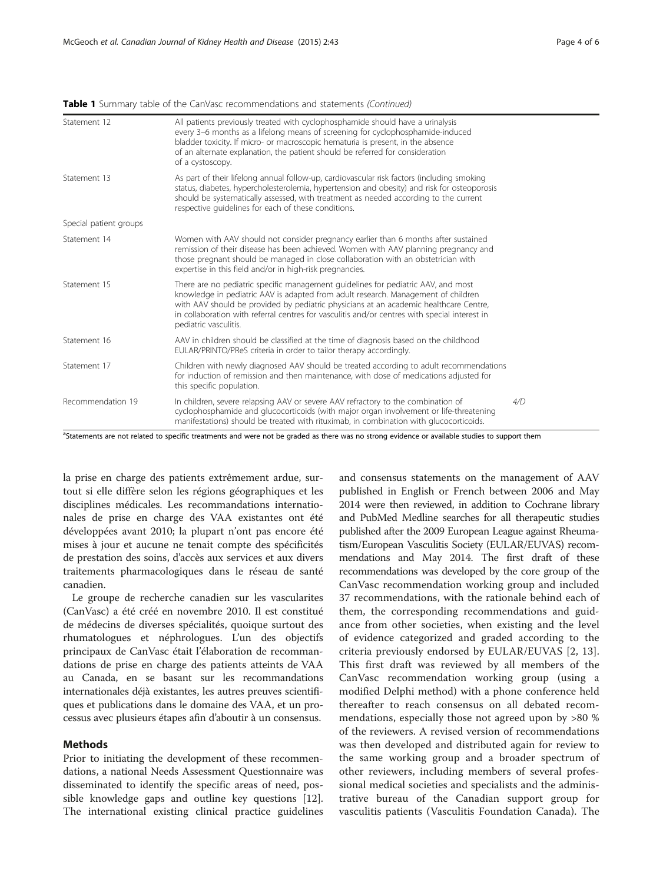| Statement 12           | All patients previously treated with cyclophosphamide should have a urinalysis<br>every 3-6 months as a lifelong means of screening for cyclophosphamide-induced<br>bladder toxicity. If micro- or macroscopic hematuria is present, in the absence<br>of an alternate explanation, the patient should be referred for consideration<br>of a cystoscopy.                                  |     |  |
|------------------------|-------------------------------------------------------------------------------------------------------------------------------------------------------------------------------------------------------------------------------------------------------------------------------------------------------------------------------------------------------------------------------------------|-----|--|
| Statement 13           | As part of their lifelong annual follow-up, cardiovascular risk factors (including smoking<br>status, diabetes, hypercholesterolemia, hypertension and obesity) and risk for osteoporosis<br>should be systematically assessed, with treatment as needed according to the current<br>respective quidelines for each of these conditions.                                                  |     |  |
| Special patient groups |                                                                                                                                                                                                                                                                                                                                                                                           |     |  |
| Statement 14           | Women with AAV should not consider pregnancy earlier than 6 months after sustained<br>remission of their disease has been achieved. Women with AAV planning pregnancy and<br>those pregnant should be managed in close collaboration with an obstetrician with<br>expertise in this field and/or in high-risk pregnancies.                                                                |     |  |
| Statement 15           | There are no pediatric specific management guidelines for pediatric AAV, and most<br>knowledge in pediatric AAV is adapted from adult research. Management of children<br>with AAV should be provided by pediatric physicians at an academic healthcare Centre,<br>in collaboration with referral centres for vasculitis and/or centres with special interest in<br>pediatric vasculitis. |     |  |
| Statement 16           | AAV in children should be classified at the time of diagnosis based on the childhood<br>EULAR/PRINTO/PReS criteria in order to tailor therapy accordingly.                                                                                                                                                                                                                                |     |  |
| Statement 17           | Children with newly diagnosed AAV should be treated according to adult recommendations<br>for induction of remission and then maintenance, with dose of medications adjusted for<br>this specific population.                                                                                                                                                                             |     |  |
| Recommendation 19      | In children, severe relapsing AAV or severe AAV refractory to the combination of<br>cyclophosphamide and glucocorticoids (with major organ involvement or life-threatening<br>manifestations) should be treated with rituximab, in combination with glucocorticoids.                                                                                                                      | 4/D |  |

<span id="page-3-0"></span>Table 1 Summary table of the CanVasc recommendations and statements (Continued)

<sup>a</sup>Statements are not related to specific treatments and were not be graded as there was no strong evidence or available studies to support them

la prise en charge des patients extrêmement ardue, surtout si elle diffère selon les régions géographiques et les disciplines médicales. Les recommandations internationales de prise en charge des VAA existantes ont été développées avant 2010; la plupart n'ont pas encore été mises à jour et aucune ne tenait compte des spécificités de prestation des soins, d'accès aux services et aux divers traitements pharmacologiques dans le réseau de santé canadien.

Le groupe de recherche canadien sur les vascularites (CanVasc) a été créé en novembre 2010. Il est constitué de médecins de diverses spécialités, quoique surtout des rhumatologues et néphrologues. L'un des objectifs principaux de CanVasc était l'élaboration de recommandations de prise en charge des patients atteints de VAA au Canada, en se basant sur les recommandations internationales déjà existantes, les autres preuves scientifiques et publications dans le domaine des VAA, et un processus avec plusieurs étapes afin d'aboutir à un consensus.

### Methods

Prior to initiating the development of these recommendations, a national Needs Assessment Questionnaire was disseminated to identify the specific areas of need, possible knowledge gaps and outline key questions [\[12](#page-5-0)]. The international existing clinical practice guidelines

and consensus statements on the management of AAV published in English or French between 2006 and May 2014 were then reviewed, in addition to Cochrane library and PubMed Medline searches for all therapeutic studies published after the 2009 European League against Rheumatism/European Vasculitis Society (EULAR/EUVAS) recommendations and May 2014. The first draft of these recommendations was developed by the core group of the CanVasc recommendation working group and included 37 recommendations, with the rationale behind each of them, the corresponding recommendations and guidance from other societies, when existing and the level of evidence categorized and graded according to the criteria previously endorsed by EULAR/EUVAS [\[2](#page-5-0), [13](#page-5-0)]. This first draft was reviewed by all members of the CanVasc recommendation working group (using a modified Delphi method) with a phone conference held thereafter to reach consensus on all debated recommendations, especially those not agreed upon by >80 % of the reviewers. A revised version of recommendations was then developed and distributed again for review to the same working group and a broader spectrum of other reviewers, including members of several professional medical societies and specialists and the administrative bureau of the Canadian support group for vasculitis patients (Vasculitis Foundation Canada). The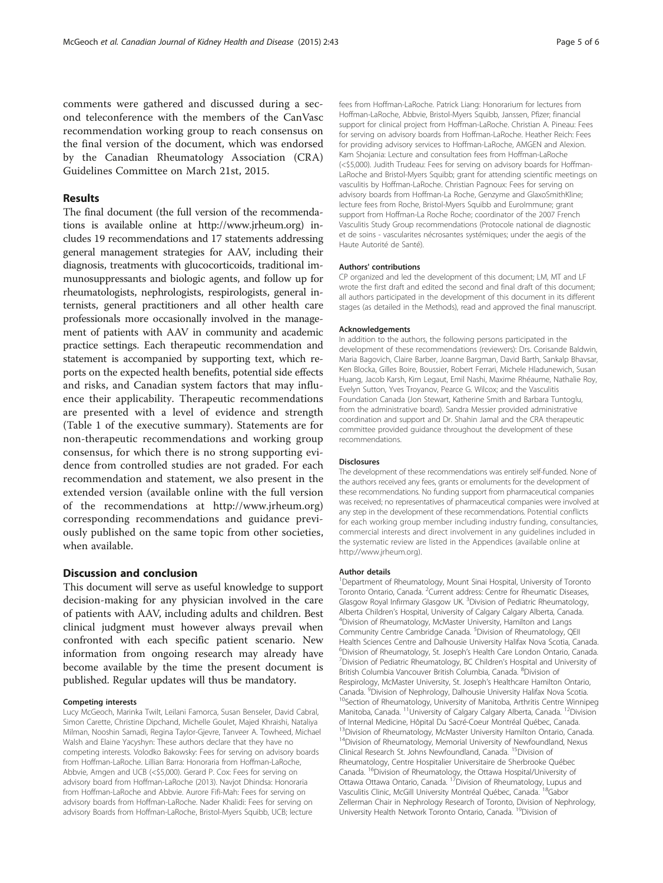comments were gathered and discussed during a second teleconference with the members of the CanVasc recommendation working group to reach consensus on the final version of the document, which was endorsed by the Canadian Rheumatology Association (CRA) Guidelines Committee on March 21st, 2015.

## Results

The final document (the full version of the recommendations is available online at<http://www.jrheum.org>) includes 19 recommendations and 17 statements addressing general management strategies for AAV, including their diagnosis, treatments with glucocorticoids, traditional immunosuppressants and biologic agents, and follow up for rheumatologists, nephrologists, respirologists, general internists, general practitioners and all other health care professionals more occasionally involved in the management of patients with AAV in community and academic practice settings. Each therapeutic recommendation and statement is accompanied by supporting text, which reports on the expected health benefits, potential side effects and risks, and Canadian system factors that may influence their applicability. Therapeutic recommendations are presented with a level of evidence and strength (Table [1](#page-1-0) of the executive summary). Statements are for non-therapeutic recommendations and working group consensus, for which there is no strong supporting evidence from controlled studies are not graded. For each recommendation and statement, we also present in the extended version (available online with the full version of the recommendations at<http://www.jrheum.org>) corresponding recommendations and guidance previously published on the same topic from other societies, when available.

#### Discussion and conclusion

This document will serve as useful knowledge to support decision-making for any physician involved in the care of patients with AAV, including adults and children. Best clinical judgment must however always prevail when confronted with each specific patient scenario. New information from ongoing research may already have become available by the time the present document is published. Regular updates will thus be mandatory.

#### Competing interests

Lucy McGeoch, Marinka Twilt, Leilani Famorca, Susan Benseler, David Cabral, Simon Carette, Christine Dipchand, Michelle Goulet, Majed Khraishi, Nataliya Milman, Nooshin Samadi, Regina Taylor-Gjevre, Tanveer A. Towheed, Michael Walsh and Elaine Yacyshyn: These authors declare that they have no competing interests. Volodko Bakowsky: Fees for serving on advisory boards from Hoffman-LaRoche. Lillian Barra: Honoraria from Hoffman-LaRoche, Abbvie, Amgen and UCB (<\$5,000). Gerard P. Cox: Fees for serving on advisory board from Hoffman-LaRoche (2013). Navjot Dhindsa: Honoraria from Hoffman-LaRoche and Abbvie. Aurore Fifi-Mah: Fees for serving on advisory boards from Hoffman-LaRoche. Nader Khalidi: Fees for serving on advisory Boards from Hoffman-LaRoche, Bristol-Myers Squibb, UCB; lecture

fees from Hoffman-LaRoche. Patrick Liang: Honorarium for lectures from Hoffman-LaRoche, Abbvie, Bristol-Myers Squibb, Janssen, Pfizer; financial support for clinical project from Hoffman-LaRoche. Christian A. Pineau: Fees for serving on advisory boards from Hoffman-LaRoche. Heather Reich: Fees for providing advisory services to Hoffman-LaRoche, AMGEN and Alexion. Kam Shojania: Lecture and consultation fees from Hoffman-LaRoche (<\$5,000). Judith Trudeau: Fees for serving on advisory boards for Hoffman-LaRoche and Bristol-Myers Squibb; grant for attending scientific meetings on vasculitis by Hoffman-LaRoche. Christian Pagnoux: Fees for serving on advisory boards from Hoffman-La Roche, Genzyme and GlaxoSmithKline; lecture fees from Roche, Bristol-Myers Squibb and EuroImmune; grant support from Hoffman-La Roche Roche; coordinator of the 2007 French Vasculitis Study Group recommendations (Protocole national de diagnostic et de soins - vascularites nécrosantes systémiques; under the aegis of the Haute Autorité de Santé).

#### Authors' contributions

CP organized and led the development of this document; LM, MT and LF wrote the first draft and edited the second and final draft of this document; all authors participated in the development of this document in its different stages (as detailed in the [Methods\)](#page-3-0), read and approved the final manuscript.

#### Acknowledgements

In addition to the authors, the following persons participated in the development of these recommendations (reviewers): Drs. Corisande Baldwin, Maria Bagovich, Claire Barber, Joanne Bargman, David Barth, Sankalp Bhavsar, Ken Blocka, Gilles Boire, Boussier, Robert Ferrari, Michele Hladunewich, Susan Huang, Jacob Karsh, Kim Legaut, Emil Nashi, Maxime Rhéaume, Nathalie Roy, Evelyn Sutton, Yves Troyanov, Pearce G. Wilcox; and the Vasculitis Foundation Canada (Jon Stewart, Katherine Smith and Barbara Tuntoglu, from the administrative board). Sandra Messier provided administrative coordination and support and Dr. Shahin Jamal and the CRA therapeutic committee provided guidance throughout the development of these recommendations.

#### Disclosures

The development of these recommendations was entirely self-funded. None of the authors received any fees, grants or emoluments for the development of these recommendations. No funding support from pharmaceutical companies was received; no representatives of pharmaceutical companies were involved at any step in the development of these recommendations. Potential conflicts for each working group member including industry funding, consultancies, commercial interests and direct involvement in any guidelines included in the systematic review are listed in the Appendices (available online at [http://www.jrheum.org\)](http://www.jrheum.org).

#### Author details

<sup>1</sup>Department of Rheumatology, Mount Sinai Hospital, University of Toronto Toronto Ontario, Canada. <sup>2</sup>Current address: Centre for Rheumatic Diseases Glasgow Royal Infirmary Glasgow UK.<sup>3</sup> Division of Pediatric Rheumatology, Alberta Children's Hospital, University of Calgary Calgary Alberta, Canada. <sup>4</sup> Division of Rheumatology, McMaster University, Hamilton and Langs Community Centre Cambridge Canada. <sup>5</sup> Division of Rheumatology, QEII Health Sciences Centre and Dalhousie University Halifax Nova Scotia, Canada. <sup>6</sup> Division of Rheumatology, St. Joseph's Health Care London Ontario, Canada.<br><sup>7</sup> Division of Pediatric Rheumatology, BC Children's Hospital and University of <sup>7</sup> Division of Pediatric Rheumatology, BC Children's Hospital and University of British Columbia Vancouver British Columbia, Canada. <sup>8</sup>Division of Respirology, McMaster University, St. Joseph's Healthcare Hamilton Ontario, Canada. <sup>9</sup> Division of Nephrology, Dalhousie University Halifax Nova Scotia. <sup>10</sup>Section of Rheumatology, University of Manitoba, Arthritis Centre Winnipeg Manitoba, Canada. 11University of Calgary Calgary Alberta, Canada. 12Division of Internal Medicine, Hôpital Du Sacré-Coeur Montréal Québec, Canada. <sup>13</sup>Division of Rheumatology, McMaster University Hamilton Ontario, Canada. <sup>14</sup>Division of Rheumatology, Memorial University of Newfoundland, Nexus Clinical Research St. Johns Newfoundland, Canada. 15Division of Rheumatology, Centre Hospitalier Universitaire de Sherbrooke Québec Canada. <sup>16</sup>Division of Rheumatology, the Ottawa Hospital/University of Ottawa Ottawa Ontario, Canada. <sup>17</sup>Division of Rheumatology, Lupus and Vasculitis Clinic, McGill University Montréal Québec, Canada. 18Gabor Zellerman Chair in Nephrology Research of Toronto, Division of Nephrology, University Health Network Toronto Ontario, Canada. 19Division of